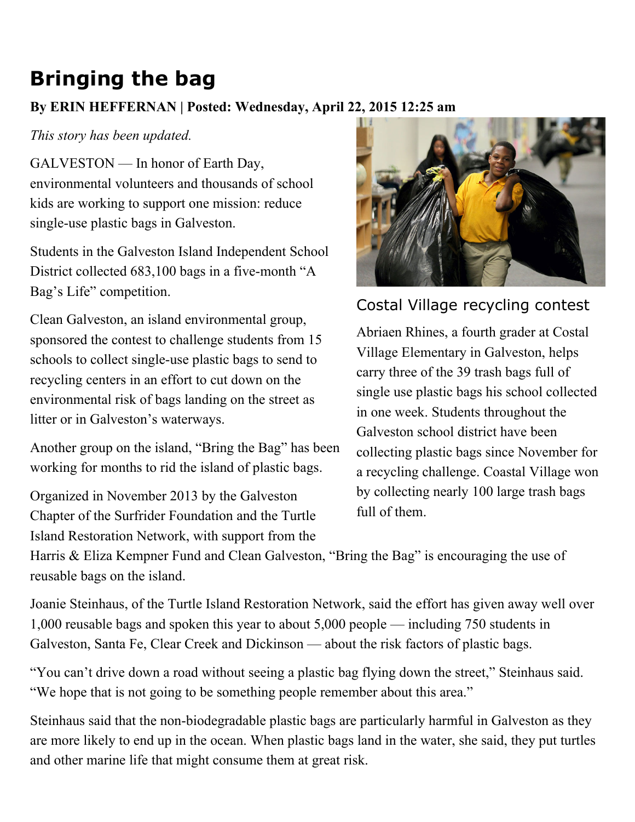## Bringing the bag

## By ERIN HEFFERNAN | Posted: Wednesday, April 22, 2015 12:25 am

## This story has been updated.

GALVESTON — In honor of Earth Day, environmental volunteers and thousands of school kids are working to support one mission: reduce single-use plastic bags in Galveston.

Students in the Galveston Island Independent School District collected 683,100 bags in a five-month "A Bag's Life" competition.

Clean Galveston, an island environmental group, sponsored the contest to challenge students from 15 schools to collect single-use plastic bags to send to recycling centers in an effort to cut down on the environmental risk of bags landing on the street as litter or in Galveston's waterways.

Another group on the island, "Bring the Bag" has been working for months to rid the island of plastic bags.

Organized in November 2013 by the Galveston Chapter of the Surfrider Foundation and the Turtle Island Restoration Network, with support from the



Costal Village recycling contest

Abriaen Rhines, a fourth grader at Costal Village Elementary in Galveston, helps carry three of the 39 trash bags full of single use plastic bags his school collected in one week. Students throughout the Galveston school district have been collecting plastic bags since November for a recycling challenge. Coastal Village won by collecting nearly 100 large trash bags full of them.

Harris & Eliza Kempner Fund and Clean Galveston, "Bring the Bag" is encouraging the use of reusable bags on the island.

Joanie Steinhaus, of the Turtle Island Restoration Network, said the effort has given away well over 1,000 reusable bags and spoken this year to about 5,000 people — including 750 students in Galveston, Santa Fe, Clear Creek and Dickinson — about the risk factors of plastic bags.

"You can't drive down a road without seeing a plastic bag flying down the street," Steinhaus said. "We hope that is not going to be something people remember about this area."

Steinhaus said that the non-biodegradable plastic bags are particularly harmful in Galveston as they are more likely to end up in the ocean. When plastic bags land in the water, she said, they put turtles and other marine life that might consume them at great risk.